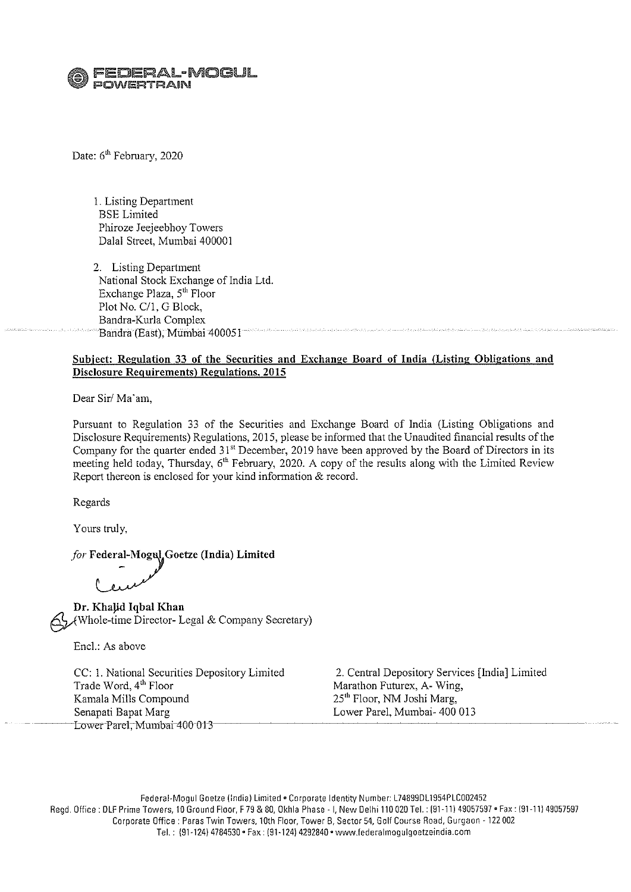:DERAL-MOGUL  $\heartsuit$  POWERTRAIN

Date: 6<sup>th</sup> February, 2020

I. Listing Department BSE Limited Phiroze Jeejeebhoy Towers Dalal Street, Mumbai 400001

2. Listing Department National Stock Exchange of India Ltd. Exchange Plaza, 5<sup>th</sup> Floor Plot No. C/1, G Block, Bandra-Kurla Complex Bandra (East), Mumbai 400051

#### **Subject: Regulation 33 of the Securities and Exchange Board of India (Listing Obligations and Disclosure Requirements) Regulations, 2015**

Dear Sir/ Ma'am,

Pursuant to Regulation 33 of the Securities and Exchange Board of India (Listing Obligations and Disclosure Requirements) Regulations, 2015, please be infonned that the Unaudited financial results of the Company for the quarter ended 31" December, 2019 have been approved by the Board of Directors in its meeting held today, Thursday, 6'h February, 2020. A copy of the results along with the Limited Review Report thereon is enclosed for your kind information & record.

Regards

Yours truly,

for Federal-Mogul, Goetze (India) Limited

**Dr. Khajid Iqbal Khan**  §Awhole-time Director- Legal & Company Secretary)

Encl.: As above

CC: I. National Securities Depository Limited Trade Word, 4<sup>th</sup> Floor Kamala Mills Compound Senapati Bapat Marg Lower Parel, Mumbai 400 013-

2. Central Depository Services [India] Limited Marathon Futurex, A- Wing, 25'h Floor, NM Joshi Marg, Lower Pare!, Mumbai- 400 013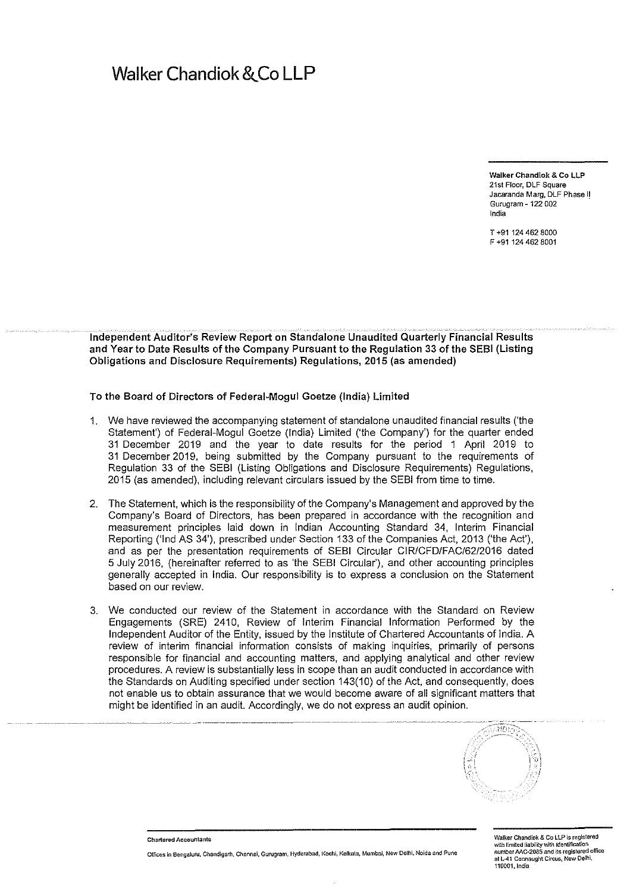## Walker Chandiok & Co LLP

Walker Chandlok & Co LLP 21st Floor, DLF Square Jacaranda Marg, DLF Phase I! Gurugram- 122 002 India

T +91 124 462 8000 F +91124462 8001

#### Independent Auditor's Review Report on Standalone Unaudited Quarterly Financial Results and Year to Date Results of the Company Pursuant to the Regulation 33 of the SEBI (Listing Obligations and Disclosure Requirements) Regulations, 2015 (as amended)

To the Board of Directors of Federal-Mogul Goetze (India) Limited

- 1. We have reviewed the accompanying statement of standalone unaudited financial results ('the Statement') of Federal-Mogul Goetze (India) Limited ('the Company') for the quarter ended 31 December 2019 and the year to date results for the period 1 April 2019 to 31 December 2019, being submitted by the Company pursuant to the requirements of Regulation 33 of the SEBI (Listing Obligations and Disclosure Requirements) Regulations, 2015 (as amended), including relevant circulars issued by the SEBI from time to time.
- 2. The Statement, which is the responsibility of the Company's Management and approved by the Company's Board of Directors, has been prepared in accordance with the recognition and measurement principles laid down in Indian Accounting Standard 34, Interim Financial Reporting ('lnd AS 34'), prescribed under Section 133 of the Companies Act, 2013 ('the Act'), and as per the presentation requirements of SEBI Circular CIR/CFD/FAC/62/2016 dated 5 July 2016, (hereinafter referred to as 'the SEBI Circular'), and other accounting principles generally accepted in India. Our responsibility is to express a conclusion on the Statement based on our review.
- 3. We conducted our review of the Statement in accordance with the Standard on Review Engagements (SRE) 2410, Review of Interim Financial Information Performed by the Independent Auditor of the Entity, issued by the Institute of Chartered Accountants of India. A review of interim financial information consists of making inquiries, primarily of persons responsible for financial and accounting matters, and applying analytical and other review procedures. A review is substantially less in scope than an audit conducted in accordance with the Standards on Auditing specified under section 143(10) of the Act, and consequently, does not enable us to obtain assurance that we would become aware of all significant matters that might be identified in an audit. Accordingly, we do not express an audit opinion.



Chartered Accountants

Offices in Bengaluru, Chandigarh, Chennal, Gurugram, Hyderabad, Koehl, Kolkata, Mumbai, New Delhi, Noida and Pune

Walker Chandiok & Co LLP is registered with limited liability with identification<br>number AAC-2085 and its registered office at L-41 Connaught Circus, New Delhi, 110001, India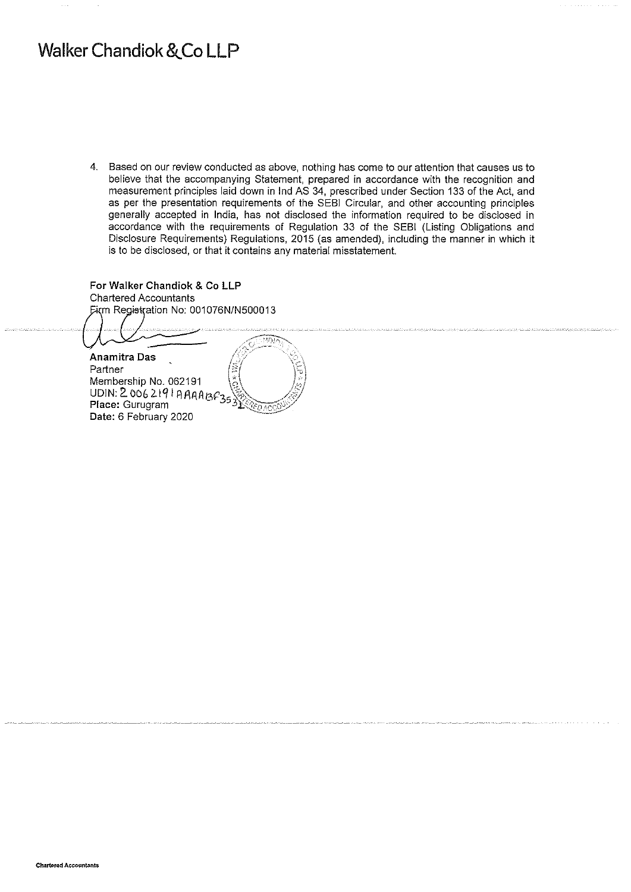## **Walker Chandiok &.Co LLP**

 $\frac{1}{2}$ 

4. Based on our review conducted as above, nothing has come to our attention that causes us to believe that the accompanying Statement, prepared in accordance with the recognition and measurement principles laid down in lnd AS 34, prescribed under Section 133 of the Act, and as per the presentation requirements of the SEBI Circular, and other accounting principles generally accepted in India, has not disclosed the information required to be disclosed in accordance with the requirements of Regulation 33 of the SEBI (Listing Obligations and Disclosure Requirements) Regulations, 2015 (as amended), including the manner in which it is to be disclosed, or that it contains any material misstatement.

**For Walker Chandiok** & Co **LLP**  Chartered Accountants Firm Registration No: 001076N/N500013  $\overline{\text{max}}$ 

**Anamitra Das**<br>Partner Membership No. 062191 Membership No. 062191 1  $q$ ,  $q$ ,  $q$ UDIN: 2. OOb 2.1 q I A 1'\1\A/3>"35 >:.:,~ .. /ic/ **Place: Gurugram Date:** 6 February 2020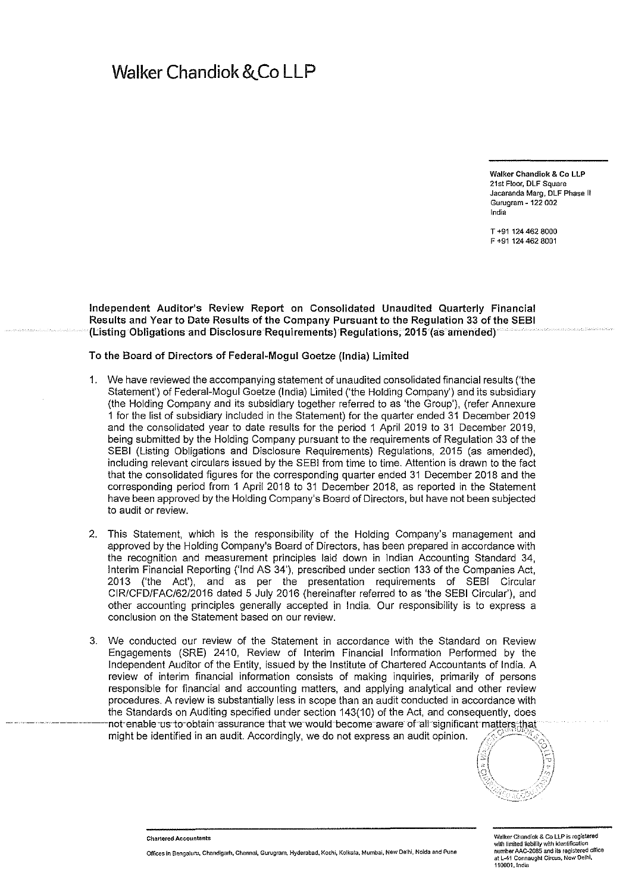## Walker Chandiok & Co LLP

Walker Chandlok & Co LLP 21st Floor, DLF Square Jacaranda Marg, DLF Phase II Gurugram ~ 122 002 India

T +91 124 462 8000 F +91 124 462 8001

Independent Auditor's Review Report on Consolidated Unaudited Quarterly Financial Results and Year to Date Results of the Company Pursuant to the Regulation 33 of the SEBI (Listing Obligations and Disclosure Requirements) Regulations, 2015 (as amended)

To the Board of Directors of Federal-Mogul Goetze (India) Limited

- 1. We have reviewed the accompanying statement of unaudited consolidated financial results ('the Statement') of Federal-Mogul Goetze (India) Limited ('the Holding Company') and its subsidiary (the Holding Company and its subsidiary together referred to as 'the Group'), (refer Annexure 1 for the list of subsidiary included in the Statement) for the quarter ended 31 December 2019 and the consolidated year to date results for the period 1 April 2019 to 31 December 2019, being submitted by the Holding Company pursuant to the requirements of Regulation 33 of the SEBI (Listing Obligations and Disclosure Requirements) Regulations, 2015 (as amended), including relevant circulars issued by the SEBI from time to time. Attention is drawn to the fact that the consolidated figures for the corresponding quarter ended 31 December 2018 and the corresponding period from 1 April 2018 to 31 December 2018, as reported in the Statement have been approved by the Holding Company's Board of Directors, but have not been subjected to audit or review.
- 2. This Statement, which is the responsibility of the Holding Company's management and approved by the Holding Company's Board of Directors, has been prepared in accordance with the recognition and measurement principles laid down in Indian Accounting Standard 34, Interim Financial Reporting ('lnd AS 34'), prescribed under section 133 of the Companies Act, 2013 ('the Act'), and as per the presentation requirements of SEBI Circular CIR/CFD/FAC/62/2016 dated 5 July 2016 (hereinafter referred to as 'the SEBI Circular'), and other accounting principles generally accepted in India. Our responsibility is to express a conclusion on the Statement based on our review.
- 3. We conducted our review of the Statement in accordance with the Standard on Review Engagements (SRE) 2410, Review of Interim Financial Information Performed by the Independent Auditor of the Entity, issued by the Institute of Chartered Accountants of India. A review of interim financial information consists of making inquiries, primarily of persons responsible for financial and accounting matters, and applying analytical and other review procedures. A review is substantially less in scope than an audit conducted in accordance with the Standards on Auditing specified under section 143(10) of the Act, and consequently, does not-enable us-to-obtain-assurance that we would become-aware of all significant matters; that might be identified in an audit. Accordingly, we do not express an audit opinion.



Chartered Accountants

Offices in Bengatum, Chandigarh, Chennai, Gurugmm, Hyderabad, Kechi, Kolkata, Mumbai, New Delhi, Noida and Pune

Walker Chandlok & Co LLP is registered with limited liability with identification number AAC-2085 and its registered office at L-41 Cormaught Circus, New Delhi, 110001.1ndia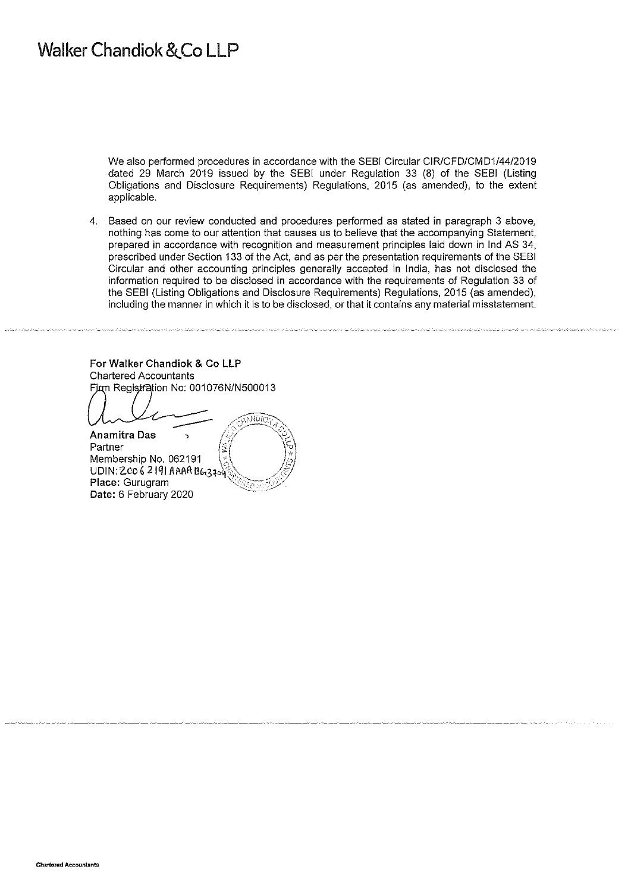## Walker Chandiok & Co LLP

We also performed procedures in accordance with the SEBI Circular CIR/CFD/CMD1/44/2019 dated 29 March 2019 issued by the SEBI under Regulation 33 (8) of the SEBI (Listing Obligations and Disclosure Requirements) Regulations, 2015 (as amended), to the extent applicable.

4. Based on our review conducted and procedures performed as stated in paragraph 3 above, nothing has come to our attention that causes us to believe that the accompanying Statement, prepared in accordance with recognition and measurement principles laid down in lnd AS 34, prescribed under Section 133 of the Act, and as per the presentation requirements of the SEBI Circular and other accounting principles generally accepted in India, has not disclosed the information required to be disclosed in accordance with the requirements of Regulation 33 of the SEBI (Listing Obligations and Disclosure Requirements) Regulations, 2015 (as amended), including the manner in which it is to be disclosed, or that it contains any material misstatement.

For Walker Chandiok & Co LLP Chartered Accountants Firm Registration No: 001076N/N500013

**ANDIO** <mark>: Anamitra Das</mark><br>Partner Membership No. 062191 Membership No. 062191 \~ ..• \. . .~' UDIN: z.co 6 21q1 AMI\ llb.3to~~} / ."' **Place: Gurugram** Date: 6 February 2020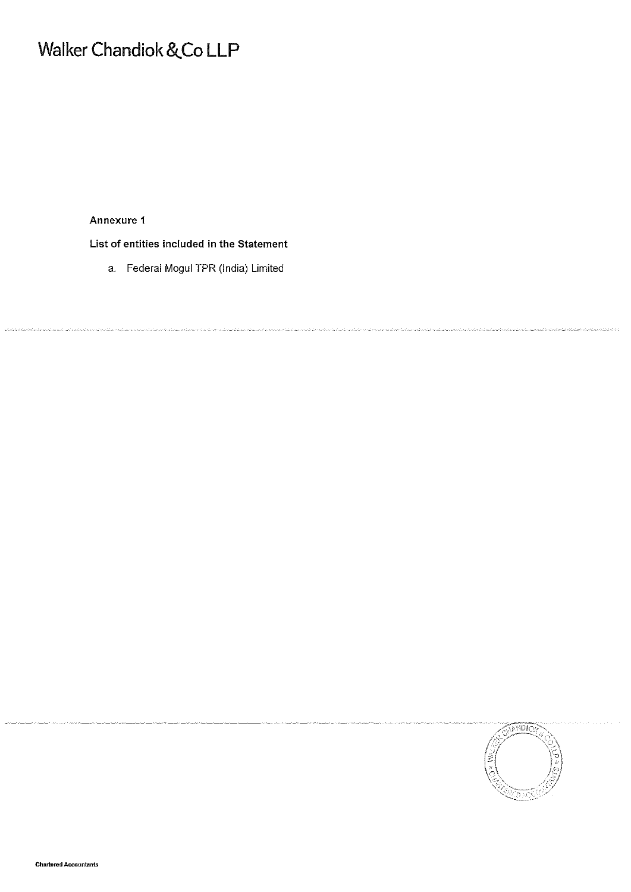# **Walker Chandiok** &.Co LLP

Annexure 1

List of entities included in the Statement

a. Federal Mogul TPR (India) Limited